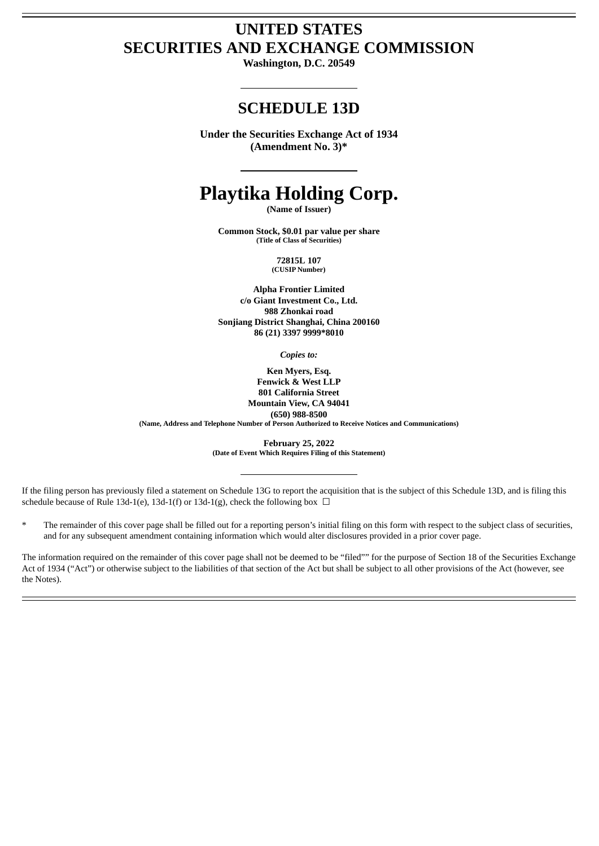# **UNITED STATES SECURITIES AND EXCHANGE COMMISSION**

**Washington, D.C. 20549**

# **SCHEDULE 13D**

**Under the Securities Exchange Act of 1934 (Amendment No. 3)\***

# **Playtika Holding Corp.**

**(Name of Issuer)**

**Common Stock, \$0.01 par value per share (Title of Class of Securities)**

> **72815L 107 (CUSIP Number)**

**Alpha Frontier Limited c/o Giant Investment Co., Ltd. 988 Zhonkai road Sonjiang District Shanghai, China 200160 86 (21) 3397 9999\*8010**

*Copies to:*

**Ken Myers, Esq. Fenwick & West LLP 801 California Street Mountain View, CA 94041 (650) 988-8500 (Name, Address and Telephone Number of Person Authorized to Receive Notices and Communications)**

> **February 25, 2022 (Date of Event Which Requires Filing of this Statement)**

If the filing person has previously filed a statement on Schedule 13G to report the acquisition that is the subject of this Schedule 13D, and is filing this schedule because of Rule 13d-1(e), 13d-1(f) or 13d-1(g), check the following box  $\Box$ 

The remainder of this cover page shall be filled out for a reporting person's initial filing on this form with respect to the subject class of securities, and for any subsequent amendment containing information which would alter disclosures provided in a prior cover page.

The information required on the remainder of this cover page shall not be deemed to be "filed"" for the purpose of Section 18 of the Securities Exchange Act of 1934 ("Act") or otherwise subject to the liabilities of that section of the Act but shall be subject to all other provisions of the Act (however, see the Notes).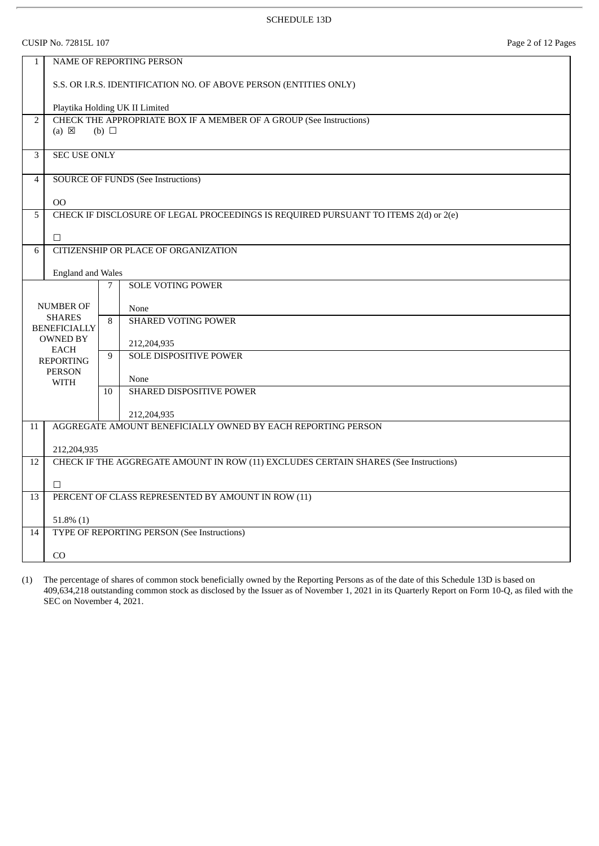CUSIP No. 72815L 107 Page 2 of 12 Pages

| $\mathbf{1}$   |                                      |            | <b>NAME OF REPORTING PERSON</b>                                                      |  |
|----------------|--------------------------------------|------------|--------------------------------------------------------------------------------------|--|
|                |                                      |            | S.S. OR I.R.S. IDENTIFICATION NO. OF ABOVE PERSON (ENTITIES ONLY)                    |  |
|                |                                      |            | Playtika Holding UK II Limited                                                       |  |
| $\overline{2}$ |                                      |            | CHECK THE APPROPRIATE BOX IF A MEMBER OF A GROUP (See Instructions)                  |  |
|                | $(a) \boxtimes$                      | (b) $\Box$ |                                                                                      |  |
| 3              | <b>SEC USE ONLY</b>                  |            |                                                                                      |  |
|                |                                      |            |                                                                                      |  |
| $\overline{4}$ |                                      |            | <b>SOURCE OF FUNDS (See Instructions)</b>                                            |  |
|                |                                      |            |                                                                                      |  |
| 5              | 00                                   |            | CHECK IF DISCLOSURE OF LEGAL PROCEEDINGS IS REQUIRED PURSUANT TO ITEMS 2(d) or 2(e)  |  |
|                |                                      |            |                                                                                      |  |
|                | $\Box$                               |            |                                                                                      |  |
| 6              |                                      |            | <b>CITIZENSHIP OR PLACE OF ORGANIZATION</b>                                          |  |
|                |                                      |            |                                                                                      |  |
|                | <b>England and Wales</b>             | 7          | SOLE VOTING POWER                                                                    |  |
|                |                                      |            |                                                                                      |  |
|                | <b>NUMBER OF</b>                     |            | None                                                                                 |  |
|                | <b>SHARES</b><br><b>BENEFICIALLY</b> |            | <b>SHARED VOTING POWER</b>                                                           |  |
|                | <b>OWNED BY</b>                      |            | 212,204,935                                                                          |  |
|                | <b>EACH</b>                          | 9          | <b>SOLE DISPOSITIVE POWER</b>                                                        |  |
|                | <b>REPORTING</b><br><b>PERSON</b>    |            |                                                                                      |  |
|                | <b>WITH</b>                          |            | None                                                                                 |  |
|                |                                      | 10         | SHARED DISPOSITIVE POWER                                                             |  |
|                |                                      |            | 212,204,935                                                                          |  |
| 11             |                                      |            | AGGREGATE AMOUNT BENEFICIALLY OWNED BY EACH REPORTING PERSON                         |  |
|                |                                      |            |                                                                                      |  |
| 12             | 212,204,935                          |            | CHECK IF THE AGGREGATE AMOUNT IN ROW (11) EXCLUDES CERTAIN SHARES (See Instructions) |  |
|                |                                      |            |                                                                                      |  |
|                | $\Box$                               |            |                                                                                      |  |
| 13             |                                      |            | PERCENT OF CLASS REPRESENTED BY AMOUNT IN ROW (11)                                   |  |
|                | $51.8\%$ (1)                         |            |                                                                                      |  |
| 14             |                                      |            | <b>TYPE OF REPORTING PERSON (See Instructions)</b>                                   |  |
|                |                                      |            |                                                                                      |  |
|                | CO                                   |            |                                                                                      |  |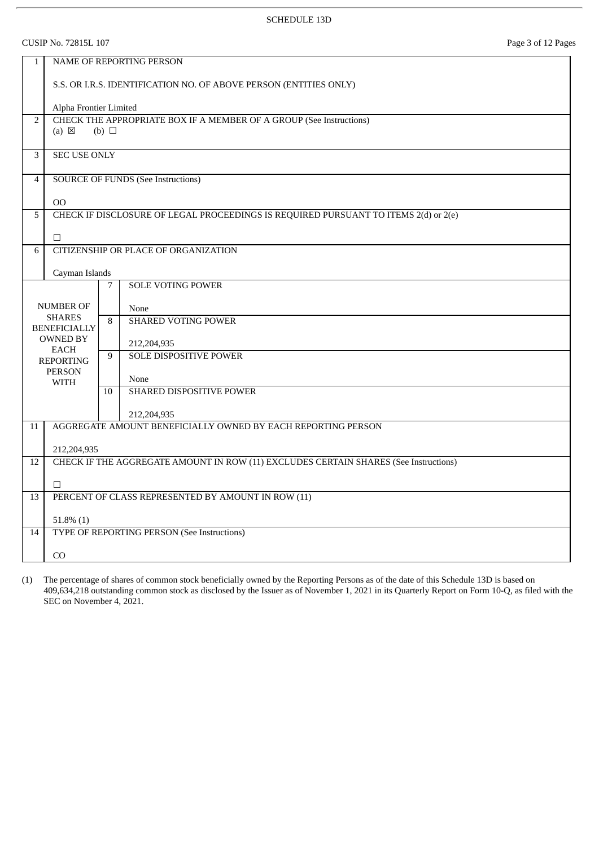CUSIP No. 72815L 107 Page 3 of 12 Pages

| $\mathbf{1}$             | <b>NAME OF REPORTING PERSON</b>                    |                                                                                   |                                                                                      |  |  |  |
|--------------------------|----------------------------------------------------|-----------------------------------------------------------------------------------|--------------------------------------------------------------------------------------|--|--|--|
|                          |                                                    | S.S. OR I.R.S. IDENTIFICATION NO. OF ABOVE PERSON (ENTITIES ONLY)                 |                                                                                      |  |  |  |
|                          |                                                    | Alpha Frontier Limited                                                            |                                                                                      |  |  |  |
| $\overline{2}$           | $(a) \boxtimes$                                    | CHECK THE APPROPRIATE BOX IF A MEMBER OF A GROUP (See Instructions)<br>(b) $\Box$ |                                                                                      |  |  |  |
| 3                        | <b>SEC USE ONLY</b>                                |                                                                                   |                                                                                      |  |  |  |
| $\overline{4}$           |                                                    |                                                                                   | <b>SOURCE OF FUNDS (See Instructions)</b>                                            |  |  |  |
|                          | 00                                                 |                                                                                   |                                                                                      |  |  |  |
| 5                        |                                                    |                                                                                   | CHECK IF DISCLOSURE OF LEGAL PROCEEDINGS IS REQUIRED PURSUANT TO ITEMS 2(d) or 2(e)  |  |  |  |
|                          | $\Box$                                             |                                                                                   |                                                                                      |  |  |  |
| 6                        |                                                    |                                                                                   | CITIZENSHIP OR PLACE OF ORGANIZATION                                                 |  |  |  |
|                          | Cayman Islands                                     |                                                                                   |                                                                                      |  |  |  |
|                          |                                                    | 7                                                                                 | <b>SOLE VOTING POWER</b>                                                             |  |  |  |
| <b>NUMBER OF</b><br>None |                                                    |                                                                                   |                                                                                      |  |  |  |
|                          | <b>SHARES</b><br><b>BENEFICIALLY</b>               | 8                                                                                 | <b>SHARED VOTING POWER</b>                                                           |  |  |  |
|                          | <b>OWNED BY</b>                                    |                                                                                   | 212,204,935                                                                          |  |  |  |
|                          | EACH<br><b>REPORTING</b>                           | 9                                                                                 | <b>SOLE DISPOSITIVE POWER</b>                                                        |  |  |  |
|                          | <b>PERSON</b><br><b>WITH</b>                       |                                                                                   | None                                                                                 |  |  |  |
|                          |                                                    | 10                                                                                | SHARED DISPOSITIVE POWER                                                             |  |  |  |
|                          |                                                    |                                                                                   | 212,204,935                                                                          |  |  |  |
| 11                       |                                                    |                                                                                   | AGGREGATE AMOUNT BENEFICIALLY OWNED BY EACH REPORTING PERSON                         |  |  |  |
|                          | 212,204,935                                        |                                                                                   |                                                                                      |  |  |  |
| 12                       |                                                    |                                                                                   | CHECK IF THE AGGREGATE AMOUNT IN ROW (11) EXCLUDES CERTAIN SHARES (See Instructions) |  |  |  |
|                          | $\Box$                                             |                                                                                   |                                                                                      |  |  |  |
| 13                       | PERCENT OF CLASS REPRESENTED BY AMOUNT IN ROW (11) |                                                                                   |                                                                                      |  |  |  |
|                          | $51.8\%$ (1)                                       |                                                                                   |                                                                                      |  |  |  |
| 14                       |                                                    |                                                                                   | TYPE OF REPORTING PERSON (See Instructions)                                          |  |  |  |
|                          | CO                                                 |                                                                                   |                                                                                      |  |  |  |
|                          |                                                    |                                                                                   |                                                                                      |  |  |  |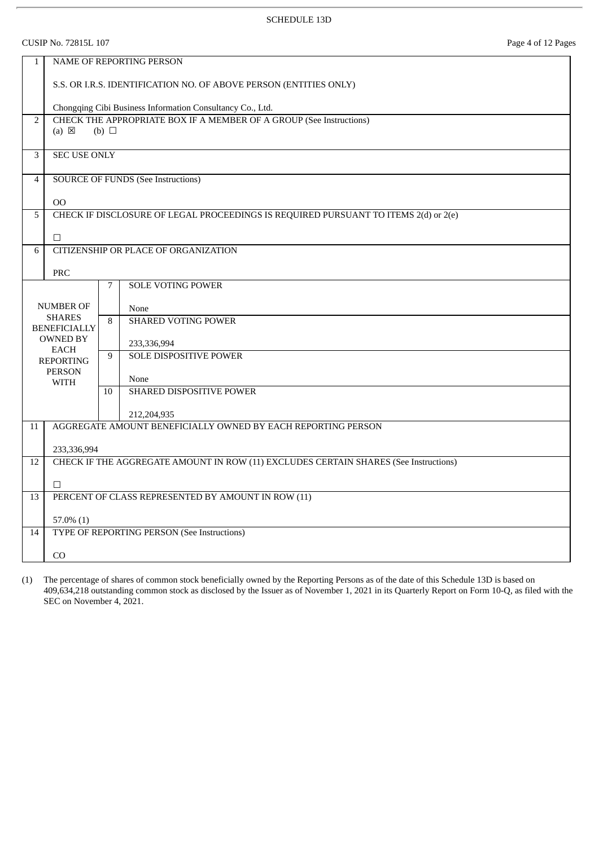CUSIP No. 72815L 107 Page 4 of 12 Pages

| $\mathbf{1}$   |                                                                                                      |    | <b>NAME OF REPORTING PERSON</b>                                                      |  |  |
|----------------|------------------------------------------------------------------------------------------------------|----|--------------------------------------------------------------------------------------|--|--|
|                |                                                                                                      |    | S.S. OR I.R.S. IDENTIFICATION NO. OF ABOVE PERSON (ENTITIES ONLY)                    |  |  |
|                | Chongqing Cibi Business Information Consultancy Co., Ltd.                                            |    |                                                                                      |  |  |
| $\overline{2}$ | CHECK THE APPROPRIATE BOX IF A MEMBER OF A GROUP (See Instructions)<br>$(a) \boxtimes$<br>(b) $\Box$ |    |                                                                                      |  |  |
| 3              | <b>SEC USE ONLY</b>                                                                                  |    |                                                                                      |  |  |
| $\overline{4}$ |                                                                                                      |    | <b>SOURCE OF FUNDS (See Instructions)</b>                                            |  |  |
|                | 00                                                                                                   |    |                                                                                      |  |  |
| 5              |                                                                                                      |    | CHECK IF DISCLOSURE OF LEGAL PROCEEDINGS IS REQUIRED PURSUANT TO ITEMS 2(d) or 2(e)  |  |  |
|                | $\Box$                                                                                               |    |                                                                                      |  |  |
| 6              |                                                                                                      |    | CITIZENSHIP OR PLACE OF ORGANIZATION                                                 |  |  |
|                | PRC                                                                                                  |    |                                                                                      |  |  |
|                |                                                                                                      | 7  | <b>SOLE VOTING POWER</b>                                                             |  |  |
|                | <b>NUMBER OF</b>                                                                                     |    | None                                                                                 |  |  |
|                | <b>SHARES</b><br><b>BENEFICIALLY</b>                                                                 |    | <b>SHARED VOTING POWER</b>                                                           |  |  |
|                | <b>OWNED BY</b>                                                                                      |    | 233,336,994                                                                          |  |  |
|                | <b>EACH</b><br><b>REPORTING</b>                                                                      | 9  | <b>SOLE DISPOSITIVE POWER</b>                                                        |  |  |
|                | <b>PERSON</b>                                                                                        |    | None                                                                                 |  |  |
|                | WITH                                                                                                 | 10 | SHARED DISPOSITIVE POWER                                                             |  |  |
|                |                                                                                                      |    | 212,204,935                                                                          |  |  |
| 11             |                                                                                                      |    | AGGREGATE AMOUNT BENEFICIALLY OWNED BY EACH REPORTING PERSON                         |  |  |
|                | 233,336,994                                                                                          |    |                                                                                      |  |  |
| 12             |                                                                                                      |    | CHECK IF THE AGGREGATE AMOUNT IN ROW (11) EXCLUDES CERTAIN SHARES (See Instructions) |  |  |
|                | $\Box$                                                                                               |    |                                                                                      |  |  |
| 13             |                                                                                                      |    | PERCENT OF CLASS REPRESENTED BY AMOUNT IN ROW (11)                                   |  |  |
|                | $57.0\%$ (1)                                                                                         |    |                                                                                      |  |  |
| 14             |                                                                                                      |    | TYPE OF REPORTING PERSON (See Instructions)                                          |  |  |
|                |                                                                                                      |    |                                                                                      |  |  |
|                | CO                                                                                                   |    |                                                                                      |  |  |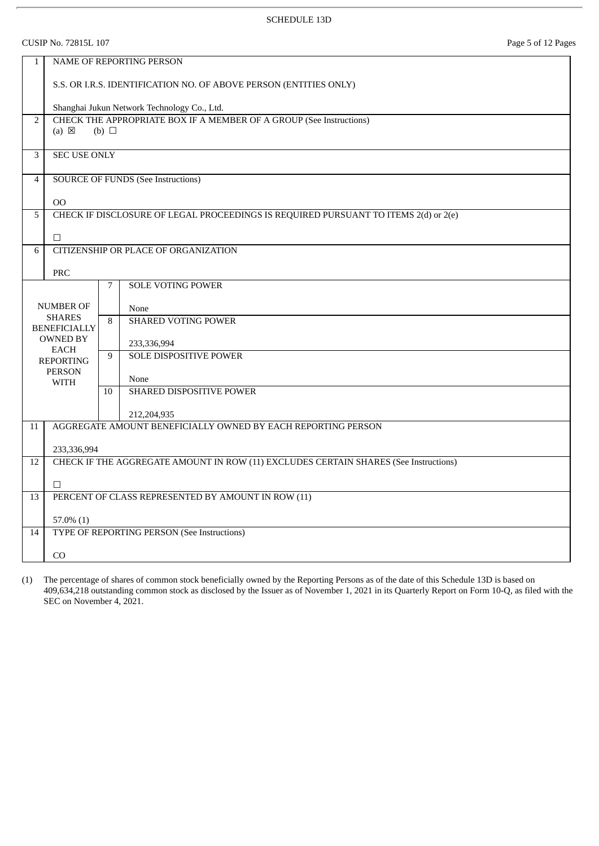CUSIP No. 72815L 107 Page 5 of 12 Pages

| $\mathbf{1}$   | <b>NAME OF REPORTING PERSON</b>                                   |            |                                                                                      |  |  |
|----------------|-------------------------------------------------------------------|------------|--------------------------------------------------------------------------------------|--|--|
|                | S.S. OR I.R.S. IDENTIFICATION NO. OF ABOVE PERSON (ENTITIES ONLY) |            |                                                                                      |  |  |
|                | Shanghai Jukun Network Technology Co., Ltd.                       |            |                                                                                      |  |  |
| $\overline{2}$ |                                                                   |            | CHECK THE APPROPRIATE BOX IF A MEMBER OF A GROUP (See Instructions)                  |  |  |
|                | $(a) \boxtimes$                                                   | (b) $\Box$ |                                                                                      |  |  |
| $\overline{3}$ | <b>SEC USE ONLY</b>                                               |            |                                                                                      |  |  |
|                |                                                                   |            |                                                                                      |  |  |
| $\overline{4}$ |                                                                   |            | <b>SOURCE OF FUNDS (See Instructions)</b>                                            |  |  |
|                | 00                                                                |            |                                                                                      |  |  |
| $\overline{5}$ |                                                                   |            | CHECK IF DISCLOSURE OF LEGAL PROCEEDINGS IS REQUIRED PURSUANT TO ITEMS 2(d) or 2(e)  |  |  |
|                |                                                                   |            |                                                                                      |  |  |
|                | $\Box$                                                            |            |                                                                                      |  |  |
| 6              |                                                                   |            | CITIZENSHIP OR PLACE OF ORGANIZATION                                                 |  |  |
|                | PRC                                                               |            |                                                                                      |  |  |
|                |                                                                   | 7          | <b>SOLE VOTING POWER</b>                                                             |  |  |
|                | NUMBER OF                                                         |            |                                                                                      |  |  |
|                | <b>SHARES</b>                                                     |            | None<br><b>SHARED VOTING POWER</b>                                                   |  |  |
|                | <b>BENEFICIALLY</b>                                               | 8          |                                                                                      |  |  |
|                | <b>OWNED BY</b><br><b>EACH</b>                                    |            | 233,336,994                                                                          |  |  |
|                | <b>REPORTING</b>                                                  | 9          | <b>SOLE DISPOSITIVE POWER</b>                                                        |  |  |
|                | <b>PERSON</b>                                                     |            | None                                                                                 |  |  |
|                | <b>WITH</b>                                                       | 10         | SHARED DISPOSITIVE POWER                                                             |  |  |
|                |                                                                   |            |                                                                                      |  |  |
|                |                                                                   |            | 212,204,935<br>AGGREGATE AMOUNT BENEFICIALLY OWNED BY EACH REPORTING PERSON          |  |  |
| 11             |                                                                   |            |                                                                                      |  |  |
|                | 233,336,994                                                       |            |                                                                                      |  |  |
| 12             |                                                                   |            | CHECK IF THE AGGREGATE AMOUNT IN ROW (11) EXCLUDES CERTAIN SHARES (See Instructions) |  |  |
|                | $\Box$                                                            |            |                                                                                      |  |  |
| 13             |                                                                   |            | PERCENT OF CLASS REPRESENTED BY AMOUNT IN ROW (11)                                   |  |  |
|                |                                                                   |            |                                                                                      |  |  |
|                | $57.0\%$ (1)                                                      |            |                                                                                      |  |  |
| 14             |                                                                   |            | TYPE OF REPORTING PERSON (See Instructions)                                          |  |  |
|                | CO                                                                |            |                                                                                      |  |  |
|                |                                                                   |            |                                                                                      |  |  |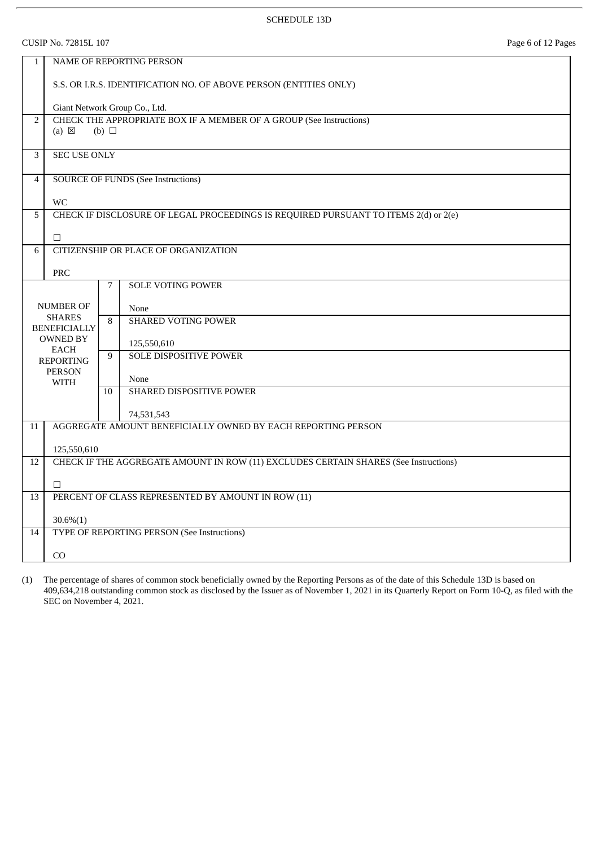CUSIP No. 72815L 107 Page 6 of 12 Pages

| $\mathbf{1}$   | NAME OF REPORTING PERSON                                 |                                                                   |                                                                                      |  |  |  |
|----------------|----------------------------------------------------------|-------------------------------------------------------------------|--------------------------------------------------------------------------------------|--|--|--|
|                |                                                          | S.S. OR I.R.S. IDENTIFICATION NO. OF ABOVE PERSON (ENTITIES ONLY) |                                                                                      |  |  |  |
|                | Giant Network Group Co., Ltd.                            |                                                                   |                                                                                      |  |  |  |
| $\overline{2}$ |                                                          |                                                                   | CHECK THE APPROPRIATE BOX IF A MEMBER OF A GROUP (See Instructions)                  |  |  |  |
|                | $(a) \boxtimes$                                          | (b) $\Box$                                                        |                                                                                      |  |  |  |
| $\overline{3}$ | <b>SEC USE ONLY</b>                                      |                                                                   |                                                                                      |  |  |  |
|                |                                                          |                                                                   |                                                                                      |  |  |  |
| $\overline{4}$ |                                                          |                                                                   | <b>SOURCE OF FUNDS (See Instructions)</b>                                            |  |  |  |
|                |                                                          |                                                                   |                                                                                      |  |  |  |
| 5              | <b>WC</b>                                                |                                                                   | CHECK IF DISCLOSURE OF LEGAL PROCEEDINGS IS REQUIRED PURSUANT TO ITEMS 2(d) or 2(e)  |  |  |  |
|                |                                                          |                                                                   |                                                                                      |  |  |  |
|                | $\Box$                                                   |                                                                   |                                                                                      |  |  |  |
| 6              |                                                          |                                                                   | CITIZENSHIP OR PLACE OF ORGANIZATION                                                 |  |  |  |
|                | PRC                                                      |                                                                   |                                                                                      |  |  |  |
|                |                                                          | $\overline{7}$                                                    | <b>SOLE VOTING POWER</b>                                                             |  |  |  |
|                |                                                          |                                                                   |                                                                                      |  |  |  |
|                | <b>NUMBER OF</b><br><b>SHARES</b><br><b>BENEFICIALLY</b> |                                                                   | None                                                                                 |  |  |  |
|                |                                                          |                                                                   | <b>SHARED VOTING POWER</b>                                                           |  |  |  |
|                | <b>OWNED BY</b>                                          |                                                                   | 125,550,610                                                                          |  |  |  |
|                | <b>EACH</b><br><b>REPORTING</b>                          | 9                                                                 | <b>SOLE DISPOSITIVE POWER</b>                                                        |  |  |  |
|                | <b>PERSON</b>                                            |                                                                   |                                                                                      |  |  |  |
|                | <b>WITH</b>                                              | 10                                                                | None<br>SHARED DISPOSITIVE POWER                                                     |  |  |  |
|                |                                                          |                                                                   |                                                                                      |  |  |  |
|                |                                                          |                                                                   | 74,531,543                                                                           |  |  |  |
| 11             |                                                          |                                                                   | AGGREGATE AMOUNT BENEFICIALLY OWNED BY EACH REPORTING PERSON                         |  |  |  |
|                | 125,550,610                                              |                                                                   |                                                                                      |  |  |  |
| 12             |                                                          |                                                                   | CHECK IF THE AGGREGATE AMOUNT IN ROW (11) EXCLUDES CERTAIN SHARES (See Instructions) |  |  |  |
|                |                                                          |                                                                   |                                                                                      |  |  |  |
|                | $\Box$                                                   |                                                                   |                                                                                      |  |  |  |
| 13             |                                                          |                                                                   | PERCENT OF CLASS REPRESENTED BY AMOUNT IN ROW (11)                                   |  |  |  |
|                | $30.6\%(1)$                                              |                                                                   |                                                                                      |  |  |  |
| 14             |                                                          |                                                                   | TYPE OF REPORTING PERSON (See Instructions)                                          |  |  |  |
|                |                                                          |                                                                   |                                                                                      |  |  |  |
|                | CO                                                       |                                                                   |                                                                                      |  |  |  |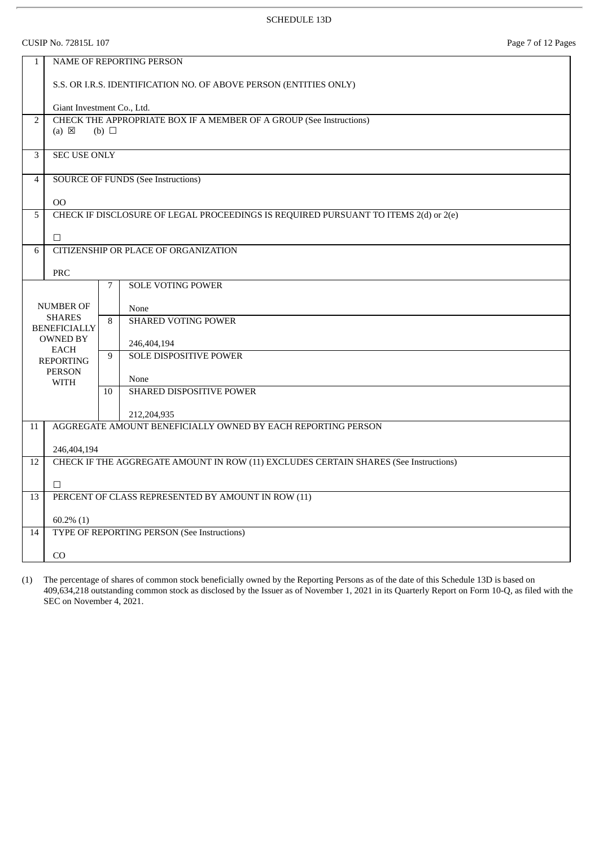CUSIP No. 72815L 107 Page 7 of 12 Pages

| $\mathbf{1}$   |                                                                                                      |    | <b>NAME OF REPORTING PERSON</b>                                                      |  |  |
|----------------|------------------------------------------------------------------------------------------------------|----|--------------------------------------------------------------------------------------|--|--|
|                | S.S. OR I.R.S. IDENTIFICATION NO. OF ABOVE PERSON (ENTITIES ONLY)                                    |    |                                                                                      |  |  |
|                | Giant Investment Co., Ltd.                                                                           |    |                                                                                      |  |  |
| $\overline{2}$ | CHECK THE APPROPRIATE BOX IF A MEMBER OF A GROUP (See Instructions)<br>$(a) \boxtimes$<br>(b) $\Box$ |    |                                                                                      |  |  |
| 3              | <b>SEC USE ONLY</b>                                                                                  |    |                                                                                      |  |  |
| $\overline{4}$ |                                                                                                      |    | <b>SOURCE OF FUNDS (See Instructions)</b>                                            |  |  |
|                | 00                                                                                                   |    |                                                                                      |  |  |
| 5              |                                                                                                      |    | CHECK IF DISCLOSURE OF LEGAL PROCEEDINGS IS REQUIRED PURSUANT TO ITEMS 2(d) or 2(e)  |  |  |
|                | $\Box$                                                                                               |    |                                                                                      |  |  |
| 6              |                                                                                                      |    | CITIZENSHIP OR PLACE OF ORGANIZATION                                                 |  |  |
|                | PRC                                                                                                  |    |                                                                                      |  |  |
|                |                                                                                                      | 7  | <b>SOLE VOTING POWER</b>                                                             |  |  |
|                | <b>NUMBER OF</b>                                                                                     |    | None                                                                                 |  |  |
|                | <b>SHARES</b><br><b>BENEFICIALLY</b>                                                                 |    | <b>SHARED VOTING POWER</b>                                                           |  |  |
|                | <b>OWNED BY</b>                                                                                      |    | 246,404,194                                                                          |  |  |
|                | <b>EACH</b><br><b>REPORTING</b>                                                                      | 9  | <b>SOLE DISPOSITIVE POWER</b>                                                        |  |  |
|                | <b>PERSON</b><br><b>WITH</b>                                                                         |    | None                                                                                 |  |  |
|                |                                                                                                      | 10 | SHARED DISPOSITIVE POWER                                                             |  |  |
|                |                                                                                                      |    | 212,204,935                                                                          |  |  |
| 11             |                                                                                                      |    | AGGREGATE AMOUNT BENEFICIALLY OWNED BY EACH REPORTING PERSON                         |  |  |
|                | 246,404,194                                                                                          |    |                                                                                      |  |  |
| 12             |                                                                                                      |    | CHECK IF THE AGGREGATE AMOUNT IN ROW (11) EXCLUDES CERTAIN SHARES (See Instructions) |  |  |
|                | $\Box$                                                                                               |    |                                                                                      |  |  |
| 13             |                                                                                                      |    | PERCENT OF CLASS REPRESENTED BY AMOUNT IN ROW (11)                                   |  |  |
|                | $60.2\%$ (1)                                                                                         |    |                                                                                      |  |  |
| 14             |                                                                                                      |    | TYPE OF REPORTING PERSON (See Instructions)                                          |  |  |
|                | CO                                                                                                   |    |                                                                                      |  |  |
|                |                                                                                                      |    |                                                                                      |  |  |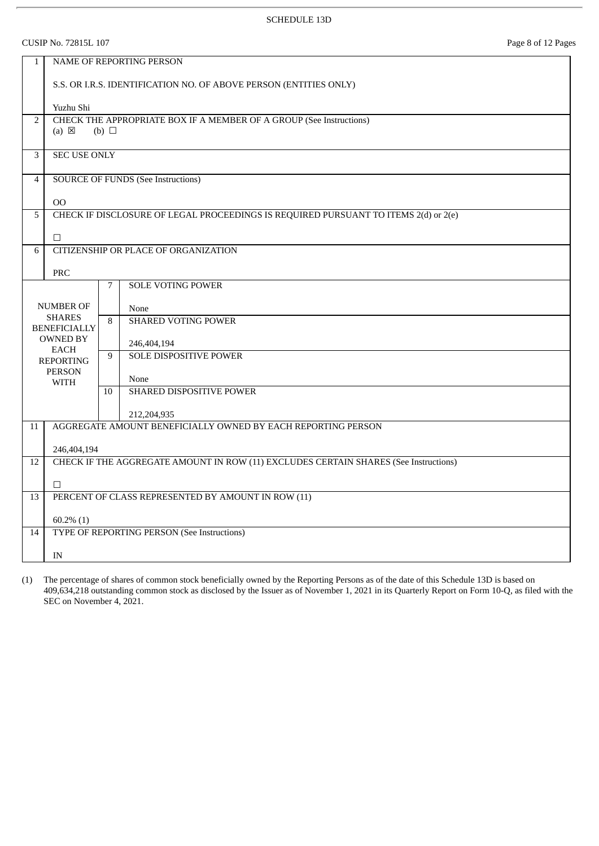CUSIP No. 72815L 107 Page 8 of 12 Pages

| $\mathbf{1}$   |                                                                   |                 | <b>NAME OF REPORTING PERSON</b>                                                      |  |  |
|----------------|-------------------------------------------------------------------|-----------------|--------------------------------------------------------------------------------------|--|--|
|                |                                                                   |                 |                                                                                      |  |  |
|                | S.S. OR I.R.S. IDENTIFICATION NO. OF ABOVE PERSON (ENTITIES ONLY) |                 |                                                                                      |  |  |
|                |                                                                   |                 |                                                                                      |  |  |
|                | Yuzhu Shi                                                         |                 |                                                                                      |  |  |
| $\overline{2}$ | (a) $\boxtimes$                                                   | (b) $\Box$      | CHECK THE APPROPRIATE BOX IF A MEMBER OF A GROUP (See Instructions)                  |  |  |
|                |                                                                   |                 |                                                                                      |  |  |
| 3              | <b>SEC USE ONLY</b>                                               |                 |                                                                                      |  |  |
|                |                                                                   |                 |                                                                                      |  |  |
| $\overline{4}$ |                                                                   |                 | <b>SOURCE OF FUNDS (See Instructions)</b>                                            |  |  |
|                | O <sub>O</sub>                                                    |                 |                                                                                      |  |  |
| 5              |                                                                   |                 | CHECK IF DISCLOSURE OF LEGAL PROCEEDINGS IS REQUIRED PURSUANT TO ITEMS 2(d) or 2(e)  |  |  |
|                |                                                                   |                 |                                                                                      |  |  |
|                | $\Box$                                                            |                 |                                                                                      |  |  |
| 6              |                                                                   |                 | CITIZENSHIP OR PLACE OF ORGANIZATION                                                 |  |  |
|                | <b>PRC</b>                                                        |                 |                                                                                      |  |  |
|                |                                                                   | 7               | <b>SOLE VOTING POWER</b>                                                             |  |  |
|                | <b>NUMBER OF</b>                                                  |                 |                                                                                      |  |  |
|                | <b>SHARES</b>                                                     |                 | None<br><b>SHARED VOTING POWER</b>                                                   |  |  |
|                | <b>BENEFICIALLY</b>                                               | 8               |                                                                                      |  |  |
|                | <b>OWNED BY</b><br><b>EACH</b>                                    |                 | 246,404,194                                                                          |  |  |
|                | <b>REPORTING</b>                                                  | 9               | <b>SOLE DISPOSITIVE POWER</b>                                                        |  |  |
|                | <b>PERSON</b>                                                     |                 | None                                                                                 |  |  |
|                | WITH                                                              | 10 <sup>1</sup> | SHARED DISPOSITIVE POWER                                                             |  |  |
|                |                                                                   |                 |                                                                                      |  |  |
|                |                                                                   |                 | 212,204,935                                                                          |  |  |
| 11             |                                                                   |                 | AGGREGATE AMOUNT BENEFICIALLY OWNED BY EACH REPORTING PERSON                         |  |  |
|                | 246,404,194                                                       |                 |                                                                                      |  |  |
| 12             |                                                                   |                 | CHECK IF THE AGGREGATE AMOUNT IN ROW (11) EXCLUDES CERTAIN SHARES (See Instructions) |  |  |
|                |                                                                   |                 |                                                                                      |  |  |
|                | $\Box$                                                            |                 |                                                                                      |  |  |
| 13             | PERCENT OF CLASS REPRESENTED BY AMOUNT IN ROW (11)                |                 |                                                                                      |  |  |
|                | $60.2\%$ (1)                                                      |                 |                                                                                      |  |  |
| 14             |                                                                   |                 | TYPE OF REPORTING PERSON (See Instructions)                                          |  |  |
|                |                                                                   |                 |                                                                                      |  |  |
|                | IN                                                                |                 |                                                                                      |  |  |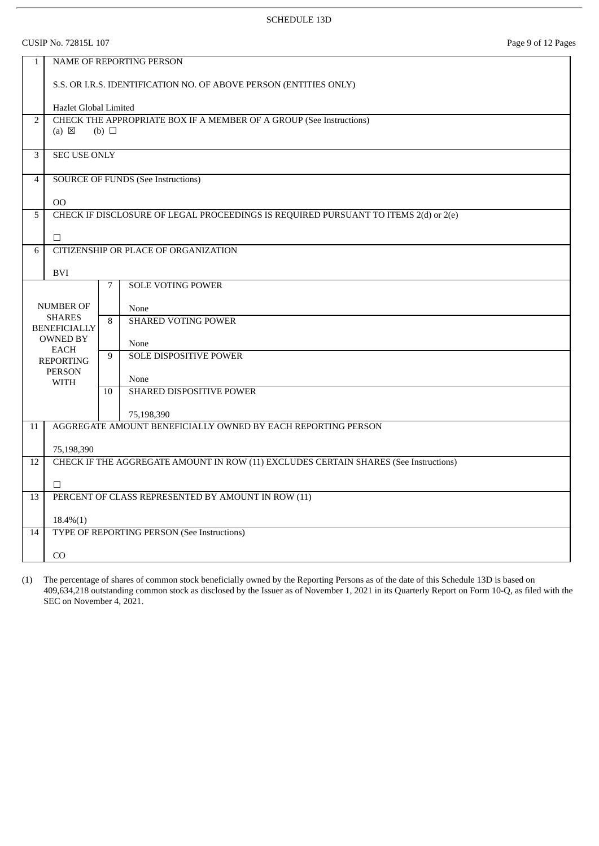CUSIP No. 72815L 107 Page 9 of 12 Pages

| $\mathbf{1}$   | NAME OF REPORTING PERSON                                                                             |    |                                                                                      |  |  |
|----------------|------------------------------------------------------------------------------------------------------|----|--------------------------------------------------------------------------------------|--|--|
|                | S.S. OR I.R.S. IDENTIFICATION NO. OF ABOVE PERSON (ENTITIES ONLY)                                    |    |                                                                                      |  |  |
|                | Hazlet Global Limited                                                                                |    |                                                                                      |  |  |
| $\overline{2}$ | CHECK THE APPROPRIATE BOX IF A MEMBER OF A GROUP (See Instructions)<br>$(a) \boxtimes$<br>(b) $\Box$ |    |                                                                                      |  |  |
| 3              | <b>SEC USE ONLY</b>                                                                                  |    |                                                                                      |  |  |
| 4              |                                                                                                      |    | <b>SOURCE OF FUNDS (See Instructions)</b>                                            |  |  |
|                | 00                                                                                                   |    |                                                                                      |  |  |
| 5              |                                                                                                      |    | CHECK IF DISCLOSURE OF LEGAL PROCEEDINGS IS REQUIRED PURSUANT TO ITEMS 2(d) or 2(e)  |  |  |
|                | $\Box$                                                                                               |    |                                                                                      |  |  |
| 6              |                                                                                                      |    | CITIZENSHIP OR PLACE OF ORGANIZATION                                                 |  |  |
|                | <b>BVI</b>                                                                                           |    |                                                                                      |  |  |
|                |                                                                                                      | 7  | <b>SOLE VOTING POWER</b>                                                             |  |  |
|                | <b>NUMBER OF</b>                                                                                     |    | None                                                                                 |  |  |
|                | <b>SHARES</b><br><b>BENEFICIALLY</b>                                                                 |    | <b>SHARED VOTING POWER</b>                                                           |  |  |
|                | <b>OWNED BY</b>                                                                                      |    | None                                                                                 |  |  |
|                | <b>EACH</b><br><b>REPORTING</b>                                                                      | 9  | <b>SOLE DISPOSITIVE POWER</b>                                                        |  |  |
|                | <b>PERSON</b><br><b>WITH</b>                                                                         |    | None                                                                                 |  |  |
|                |                                                                                                      | 10 | SHARED DISPOSITIVE POWER                                                             |  |  |
|                |                                                                                                      |    | 75,198,390                                                                           |  |  |
| 11             |                                                                                                      |    | AGGREGATE AMOUNT BENEFICIALLY OWNED BY EACH REPORTING PERSON                         |  |  |
|                | 75,198,390                                                                                           |    |                                                                                      |  |  |
| 12             |                                                                                                      |    | CHECK IF THE AGGREGATE AMOUNT IN ROW (11) EXCLUDES CERTAIN SHARES (See Instructions) |  |  |
|                | $\Box$                                                                                               |    |                                                                                      |  |  |
| 13             |                                                                                                      |    | PERCENT OF CLASS REPRESENTED BY AMOUNT IN ROW (11)                                   |  |  |
|                | $18.4\%(1)$                                                                                          |    |                                                                                      |  |  |
| 14             |                                                                                                      |    | <b>TYPE OF REPORTING PERSON (See Instructions)</b>                                   |  |  |
|                | CO                                                                                                   |    |                                                                                      |  |  |
|                |                                                                                                      |    |                                                                                      |  |  |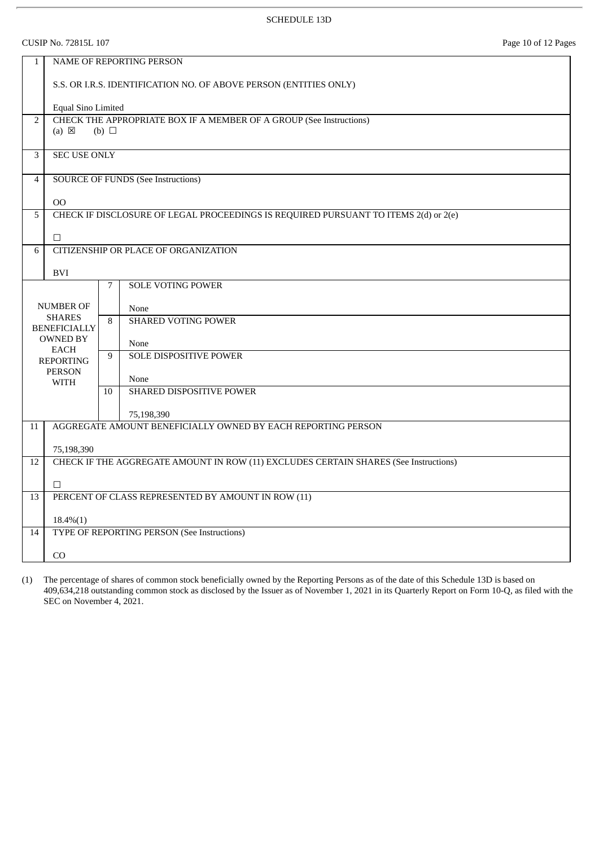CUSIP No. 72815L 107 Page 10 of 12 Pages

| $\mathbf{1}$                      | NAME OF REPORTING PERSON                                          |            |                                                                                      |  |  |
|-----------------------------------|-------------------------------------------------------------------|------------|--------------------------------------------------------------------------------------|--|--|
|                                   | S.S. OR I.R.S. IDENTIFICATION NO. OF ABOVE PERSON (ENTITIES ONLY) |            |                                                                                      |  |  |
|                                   | Equal Sino Limited                                                |            |                                                                                      |  |  |
| $\overline{2}$                    |                                                                   |            | CHECK THE APPROPRIATE BOX IF A MEMBER OF A GROUP (See Instructions)                  |  |  |
|                                   | $(a) \boxtimes$                                                   | (b) $\Box$ |                                                                                      |  |  |
| 3                                 | <b>SEC USE ONLY</b>                                               |            |                                                                                      |  |  |
|                                   |                                                                   |            |                                                                                      |  |  |
| $\overline{4}$                    |                                                                   |            | <b>SOURCE OF FUNDS (See Instructions)</b>                                            |  |  |
|                                   |                                                                   |            |                                                                                      |  |  |
| 5                                 | $00\,$                                                            |            | CHECK IF DISCLOSURE OF LEGAL PROCEEDINGS IS REQUIRED PURSUANT TO ITEMS 2(d) or 2(e)  |  |  |
|                                   |                                                                   |            |                                                                                      |  |  |
|                                   | $\Box$                                                            |            |                                                                                      |  |  |
| 6                                 |                                                                   |            | CITIZENSHIP OR PLACE OF ORGANIZATION                                                 |  |  |
|                                   | <b>BVI</b>                                                        |            |                                                                                      |  |  |
|                                   |                                                                   | 7          | <b>SOLE VOTING POWER</b>                                                             |  |  |
|                                   |                                                                   |            |                                                                                      |  |  |
| <b>NUMBER OF</b><br><b>SHARES</b> |                                                                   |            | None<br><b>SHARED VOTING POWER</b>                                                   |  |  |
|                                   | <b>BENEFICIALLY</b>                                               | 8          |                                                                                      |  |  |
|                                   | OWNED BY                                                          |            | None                                                                                 |  |  |
|                                   | <b>EACH</b><br><b>REPORTING</b>                                   | 9          | <b>SOLE DISPOSITIVE POWER</b>                                                        |  |  |
|                                   | <b>PERSON</b>                                                     |            | None                                                                                 |  |  |
|                                   | <b>WITH</b>                                                       | 10         | SHARED DISPOSITIVE POWER                                                             |  |  |
|                                   |                                                                   |            |                                                                                      |  |  |
|                                   |                                                                   |            | 75,198,390                                                                           |  |  |
| 11                                |                                                                   |            | AGGREGATE AMOUNT BENEFICIALLY OWNED BY EACH REPORTING PERSON                         |  |  |
|                                   | 75,198,390                                                        |            |                                                                                      |  |  |
| 12                                |                                                                   |            | CHECK IF THE AGGREGATE AMOUNT IN ROW (11) EXCLUDES CERTAIN SHARES (See Instructions) |  |  |
|                                   |                                                                   |            |                                                                                      |  |  |
|                                   | $\Box$                                                            |            |                                                                                      |  |  |
| 13                                | PERCENT OF CLASS REPRESENTED BY AMOUNT IN ROW (11)                |            |                                                                                      |  |  |
|                                   | $18.4\%(1)$                                                       |            |                                                                                      |  |  |
| 14                                |                                                                   |            | TYPE OF REPORTING PERSON (See Instructions)                                          |  |  |
|                                   | CO                                                                |            |                                                                                      |  |  |
|                                   |                                                                   |            |                                                                                      |  |  |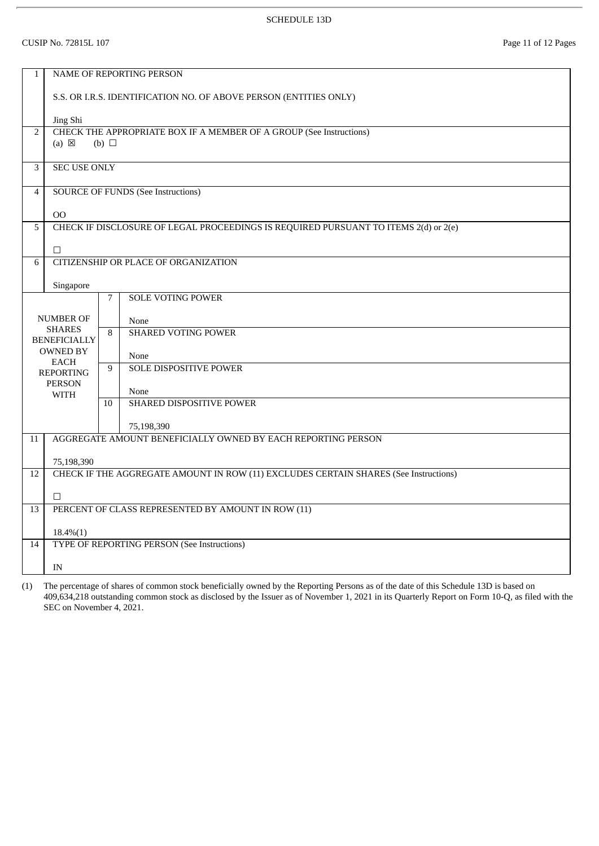CUSIP No. 72815L 107 Page 11 of 12 Pages

| $\mathbf{1}$   |                                                                   |                 | NAME OF REPORTING PERSON                                                             |  |  |
|----------------|-------------------------------------------------------------------|-----------------|--------------------------------------------------------------------------------------|--|--|
|                | S.S. OR I.R.S. IDENTIFICATION NO. OF ABOVE PERSON (ENTITIES ONLY) |                 |                                                                                      |  |  |
|                | Jing Shi                                                          |                 |                                                                                      |  |  |
| $\overline{2}$ | $(a) \boxtimes$                                                   | (b) $\Box$      | CHECK THE APPROPRIATE BOX IF A MEMBER OF A GROUP (See Instructions)                  |  |  |
|                |                                                                   |                 |                                                                                      |  |  |
| 3              | <b>SEC USE ONLY</b>                                               |                 |                                                                                      |  |  |
| $\overline{4}$ |                                                                   |                 | <b>SOURCE OF FUNDS (See Instructions)</b>                                            |  |  |
|                |                                                                   |                 |                                                                                      |  |  |
| 5              | O <sub>O</sub>                                                    |                 | CHECK IF DISCLOSURE OF LEGAL PROCEEDINGS IS REQUIRED PURSUANT TO ITEMS 2(d) or 2(e)  |  |  |
|                |                                                                   |                 |                                                                                      |  |  |
|                | $\Box$                                                            |                 |                                                                                      |  |  |
| 6              |                                                                   |                 | CITIZENSHIP OR PLACE OF ORGANIZATION                                                 |  |  |
|                | Singapore                                                         |                 |                                                                                      |  |  |
|                |                                                                   | $7\overline{ }$ | <b>SOLE VOTING POWER</b>                                                             |  |  |
|                | <b>NUMBER OF</b>                                                  |                 | None                                                                                 |  |  |
|                | <b>SHARES</b><br><b>BENEFICIALLY</b>                              | 8               | <b>SHARED VOTING POWER</b>                                                           |  |  |
|                | <b>OWNED BY</b>                                                   |                 | None                                                                                 |  |  |
|                | <b>EACH</b><br><b>REPORTING</b>                                   | 9               | SOLE DISPOSITIVE POWER                                                               |  |  |
|                | <b>PERSON</b>                                                     |                 |                                                                                      |  |  |
|                | WITH                                                              | 10              | None<br>SHARED DISPOSITIVE POWER                                                     |  |  |
|                |                                                                   |                 |                                                                                      |  |  |
| 11             |                                                                   |                 | 75,198,390<br>AGGREGATE AMOUNT BENEFICIALLY OWNED BY EACH REPORTING PERSON           |  |  |
|                |                                                                   |                 |                                                                                      |  |  |
|                | 75,198,390                                                        |                 |                                                                                      |  |  |
| 12             |                                                                   |                 | CHECK IF THE AGGREGATE AMOUNT IN ROW (11) EXCLUDES CERTAIN SHARES (See Instructions) |  |  |
|                | $\Box$                                                            |                 |                                                                                      |  |  |
| 13             | PERCENT OF CLASS REPRESENTED BY AMOUNT IN ROW (11)                |                 |                                                                                      |  |  |
|                | $18.4\%(1)$                                                       |                 |                                                                                      |  |  |
| 14             |                                                                   |                 | TYPE OF REPORTING PERSON (See Instructions)                                          |  |  |
|                | IN                                                                |                 |                                                                                      |  |  |
|                |                                                                   |                 |                                                                                      |  |  |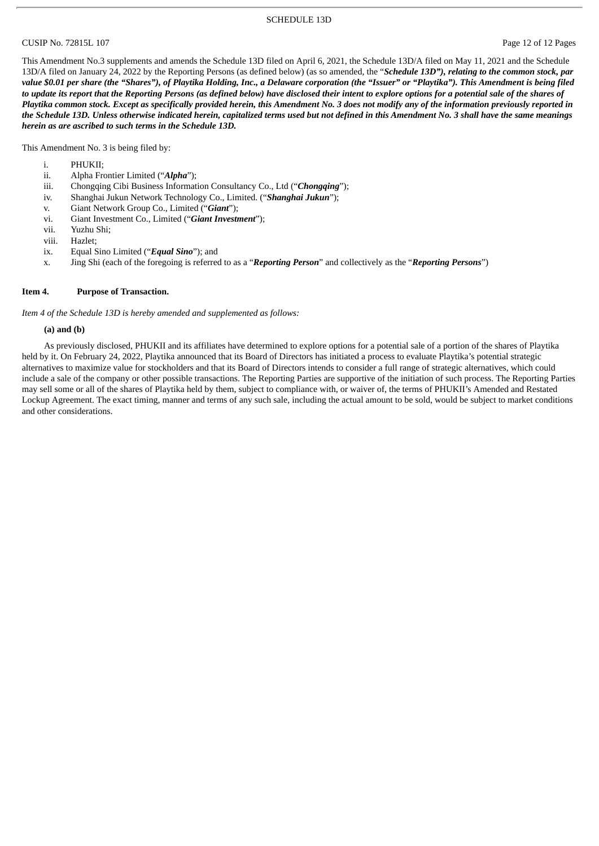#### SCHEDULE 13D

#### CUSIP No. 72815L 107 Page 12 of 12 Pages

This Amendment No.3 supplements and amends the Schedule 13D filed on April 6, 2021, the Schedule 13D/A filed on May 11, 2021 and the Schedule 13D/A filed on January 24, 2022 by the Reporting Persons (as defined below) (as so amended, the "*Schedule 13D"), relating to the common stock, par* value \$0.01 per share (the "Shares"), of Playtika Holding, Inc., a Delaware corporation (the "Issuer" or "Playtika"). This Amendment is being filed to update its report that the Reporting Persons (as defined below) have disclosed their intent to explore options for a potential sale of the shares of Playtika common stock. Except as specifically provided herein, this Amendment No. 3 does not modify any of the information previously reported in the Schedule 13D. Unless otherwise indicated herein, capitalized terms used but not defined in this Amendment No. 3 shall have the same meanings *herein as are ascribed to such terms in the Schedule 13D.*

This Amendment No. 3 is being filed by:

- i. PHUKII;
- ii. Alpha Frontier Limited ("*Alpha*");
- iii. Chongqing Cibi Business Information Consultancy Co., Ltd ("*Chongqing*");
- iv. Shanghai Jukun Network Technology Co., Limited. ("*Shanghai Jukun*");
- v. Giant Network Group Co., Limited ("*Giant*");
- vi. Giant Investment Co., Limited ("*Giant Investment*");
- vii. Yuzhu Shi;
- viii. Hazlet;
- ix. Equal Sino Limited ("*Equal Sino*"); and
- x. Jing Shi (each of the foregoing is referred to as a "*Reporting Person*" and collectively as the "*Reporting Persons*")

#### **Item 4. Purpose of Transaction.**

*Item 4 of the Schedule 13D is hereby amended and supplemented as follows:*

#### **(a) and (b)**

As previously disclosed, PHUKII and its affiliates have determined to explore options for a potential sale of a portion of the shares of Playtika held by it. On February 24, 2022, Playtika announced that its Board of Directors has initiated a process to evaluate Playtika's potential strategic alternatives to maximize value for stockholders and that its Board of Directors intends to consider a full range of strategic alternatives, which could include a sale of the company or other possible transactions. The Reporting Parties are supportive of the initiation of such process. The Reporting Parties may sell some or all of the shares of Playtika held by them, subject to compliance with, or waiver of, the terms of PHUKII's Amended and Restated Lockup Agreement. The exact timing, manner and terms of any such sale, including the actual amount to be sold, would be subject to market conditions and other considerations.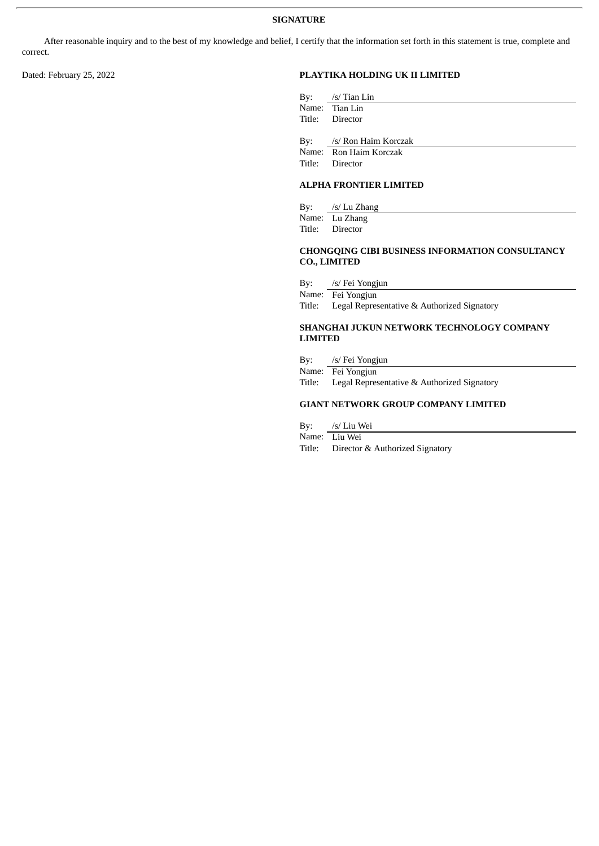After reasonable inquiry and to the best of my knowledge and belief, I certify that the information set forth in this statement is true, complete and correct.

## Dated: February 25, 2022 **PLAYTIKA HOLDING UK II LIMITED**

| By: $/s/$ Tian Lin       |
|--------------------------|
| Name: Tian Lin           |
| Title: Director          |
|                          |
| By: /s/ Ron Haim Korczak |
|                          |
| Name: Ron Haim Korczak   |
| Title: Director          |

## **ALPHA FRONTIER LIMITED**

By: /s/ Lu Zhang Name: Lu Zhang Title: Director

#### **CHONGQING CIBI BUSINESS INFORMATION CONSULTANCY CO., LIMITED**

By: /s/ Fei Yongjun

Name: Fei Yongjun

Title: Legal Representative & Authorized Signatory

#### **SHANGHAI JUKUN NETWORK TECHNOLOGY COMPANY LIMITED**

By: /s/ Fei Yongjun

Name: Fei Yongjun

Title: Legal Representative & Authorized Signatory

# **GIANT NETWORK GROUP COMPANY LIMITED**

By: /s/ Liu Wei

Name: Liu Wei

Title: Director & Authorized Signatory